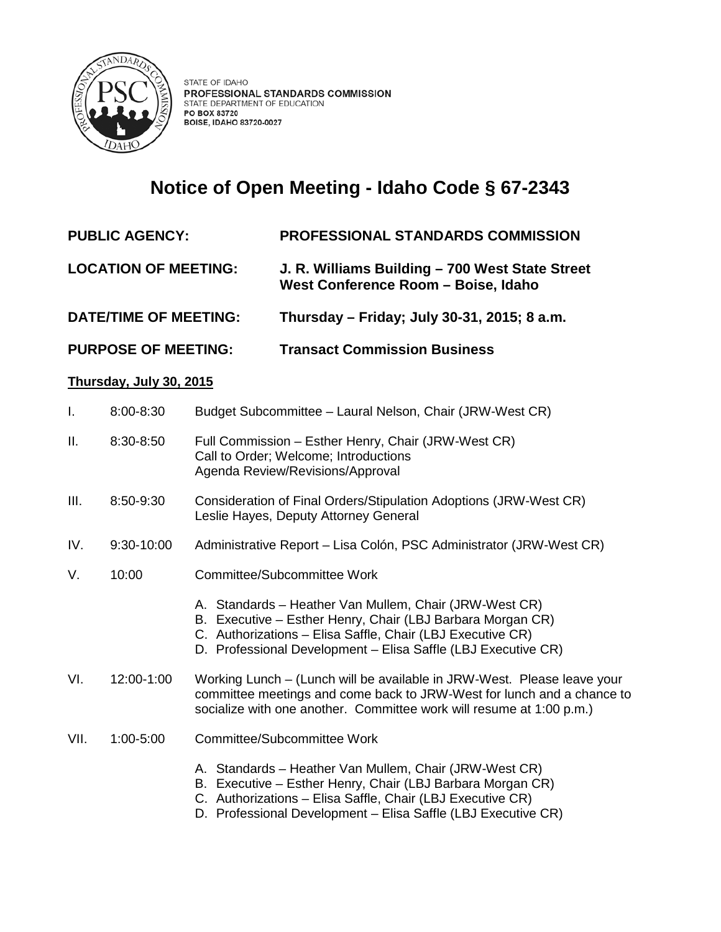

## **Notice of Open Meeting - Idaho Code § 67-2343**

- **PUBLIC AGENCY: PROFESSIONAL STANDARDS COMMISSION**
- **LOCATION OF MEETING: J. R. Williams Building – 700 West State Street West Conference Room – Boise, Idaho**
- **DATE/TIME OF MEETING: Thursday – Friday; July 30-31, 2015; 8 a.m.**
- **PURPOSE OF MEETING: Transact Commission Business**

## **Thursday, July 30, 2015**

| I.   | 8:00-8:30  | Budget Subcommittee - Laural Nelson, Chair (JRW-West CR)                                                                                                                                                                                            |
|------|------------|-----------------------------------------------------------------------------------------------------------------------------------------------------------------------------------------------------------------------------------------------------|
| Ш.   | 8:30-8:50  | Full Commission - Esther Henry, Chair (JRW-West CR)<br>Call to Order; Welcome; Introductions<br>Agenda Review/Revisions/Approval                                                                                                                    |
| Ш.   | 8:50-9:30  | Consideration of Final Orders/Stipulation Adoptions (JRW-West CR)<br>Leslie Hayes, Deputy Attorney General                                                                                                                                          |
| IV.  | 9:30-10:00 | Administrative Report - Lisa Colón, PSC Administrator (JRW-West CR)                                                                                                                                                                                 |
| V.   | 10:00      | Committee/Subcommittee Work                                                                                                                                                                                                                         |
|      |            | A. Standards - Heather Van Mullem, Chair (JRW-West CR)<br>B. Executive - Esther Henry, Chair (LBJ Barbara Morgan CR)<br>C. Authorizations - Elisa Saffle, Chair (LBJ Executive CR)<br>D. Professional Development - Elisa Saffle (LBJ Executive CR) |
| VI.  | 12:00-1:00 | Working Lunch - (Lunch will be available in JRW-West. Please leave your<br>committee meetings and come back to JRW-West for lunch and a chance to<br>socialize with one another. Committee work will resume at 1:00 p.m.)                           |
| VII. | 1:00-5:00  | Committee/Subcommittee Work                                                                                                                                                                                                                         |
|      |            | A. Standards - Heather Van Mullem, Chair (JRW-West CR)<br>B. Executive - Esther Henry, Chair (LBJ Barbara Morgan CR)<br>C. Authorizations - Elisa Saffle, Chair (LBJ Executive CR)<br>D. Professional Development - Elisa Saffle (LBJ Executive CR) |